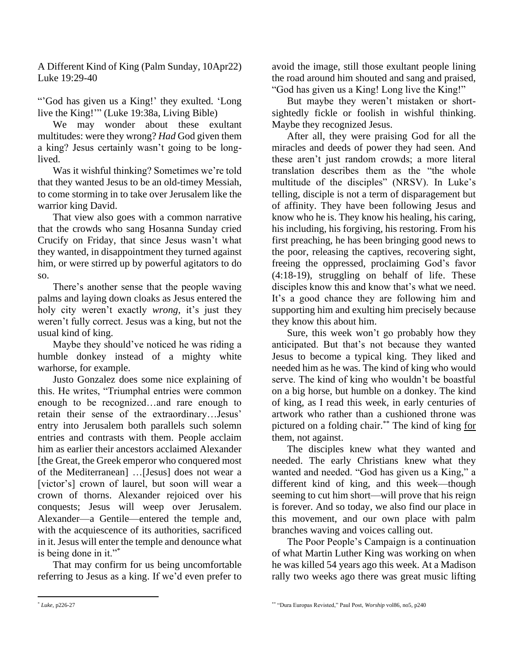A Different Kind of King (Palm Sunday, 10Apr22) Luke 19:29-40

"'God has given us a King!' they exulted. 'Long live the King!'" (Luke 19:38a, Living Bible)

We may wonder about these exultant multitudes: were they wrong? *Had* God given them a king? Jesus certainly wasn't going to be longlived.

Was it wishful thinking? Sometimes we're told that they wanted Jesus to be an old-timey Messiah, to come storming in to take over Jerusalem like the warrior king David.

That view also goes with a common narrative that the crowds who sang Hosanna Sunday cried Crucify on Friday, that since Jesus wasn't what they wanted, in disappointment they turned against him, or were stirred up by powerful agitators to do so.

There's another sense that the people waving palms and laying down cloaks as Jesus entered the holy city weren't exactly *wrong,* it's just they weren't fully correct. Jesus was a king, but not the usual kind of king.

Maybe they should've noticed he was riding a humble donkey instead of a mighty white warhorse, for example.

Justo Gonzalez does some nice explaining of this. He writes, "Triumphal entries were common enough to be recognized…and rare enough to retain their sense of the extraordinary…Jesus' entry into Jerusalem both parallels such solemn entries and contrasts with them. People acclaim him as earlier their ancestors acclaimed Alexander [the Great, the Greek emperor who conquered most of the Mediterranean] …[Jesus] does not wear a [victor's] crown of laurel, but soon will wear a crown of thorns. Alexander rejoiced over his conquests; Jesus will weep over Jerusalem. Alexander—a Gentile—entered the temple and, with the acquiescence of its authorities, sacrificed in it. Jesus will enter the temple and denounce what is being done in it."\*

That may confirm for us being uncomfortable referring to Jesus as a king. If we'd even prefer to avoid the image, still those exultant people lining the road around him shouted and sang and praised, "God has given us a King! Long live the King!"

But maybe they weren't mistaken or shortsightedly fickle or foolish in wishful thinking. Maybe they recognized Jesus.

After all, they were praising God for all the miracles and deeds of power they had seen. And these aren't just random crowds; a more literal translation describes them as the "the whole multitude of the disciples" (NRSV). In Luke's telling, disciple is not a term of disparagement but of affinity. They have been following Jesus and know who he is. They know his healing, his caring, his including, his forgiving, his restoring. From his first preaching, he has been bringing good news to the poor, releasing the captives, recovering sight, freeing the oppressed, proclaiming God's favor (4:18-19), struggling on behalf of life. These disciples know this and know that's what we need. It's a good chance they are following him and supporting him and exulting him precisely because they know this about him.

Sure, this week won't go probably how they anticipated. But that's not because they wanted Jesus to become a typical king. They liked and needed him as he was. The kind of king who would serve. The kind of king who wouldn't be boastful on a big horse, but humble on a donkey. The kind of king, as I read this week, in early centuries of artwork who rather than a cushioned throne was pictured on a folding chair.\*\* The kind of king for them, not against.

The disciples knew what they wanted and needed. The early Christians knew what they wanted and needed. "God has given us a King," a different kind of king, and this week—though seeming to cut him short—will prove that his reign is forever. And so today, we also find our place in this movement, and our own place with palm branches waving and voices calling out.

The Poor People's Campaign is a continuation of what Martin Luther King was working on when he was killed 54 years ago this week. At a Madison rally two weeks ago there was great music lifting